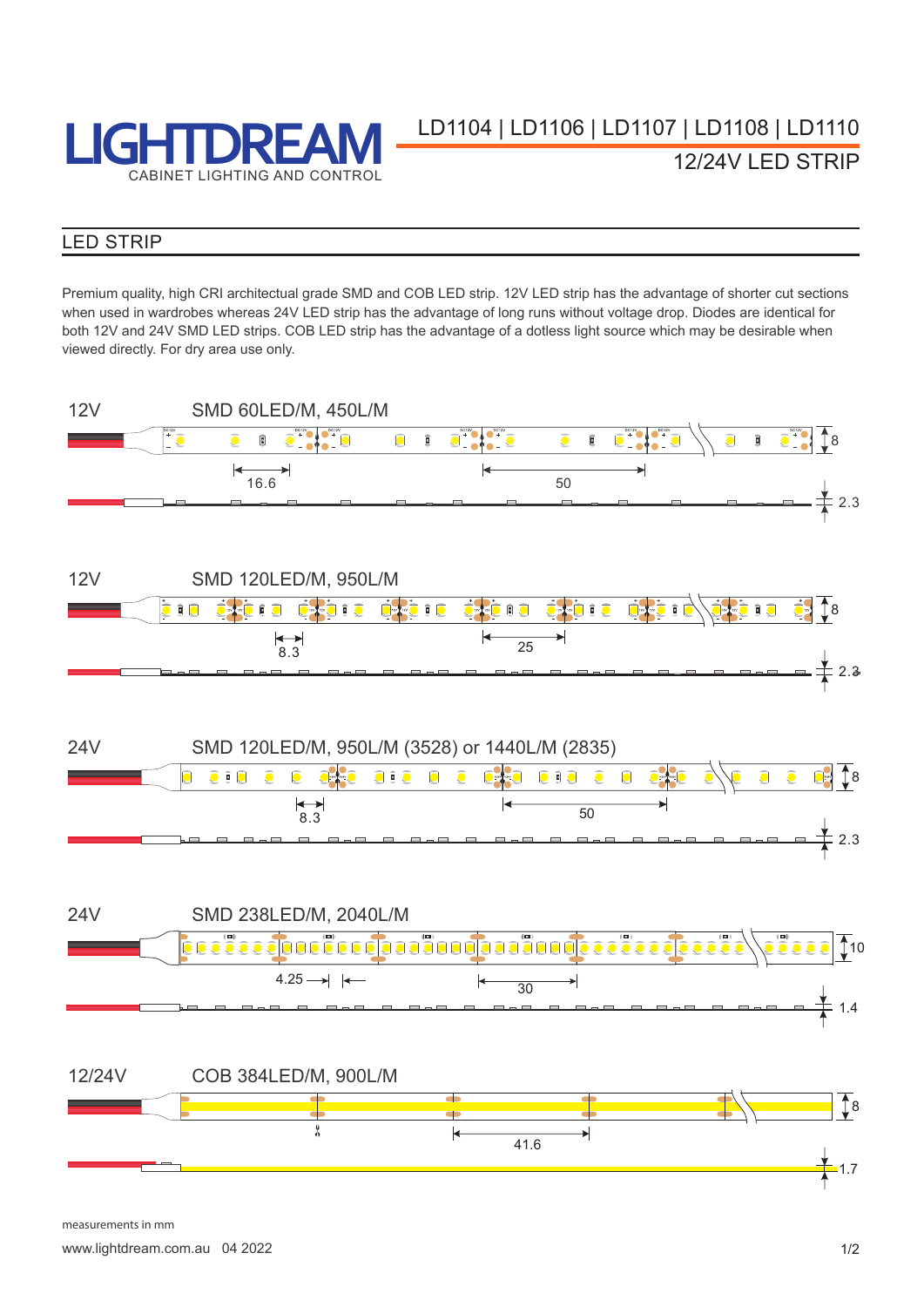

**LEGENT BREAM** LENT LENT 106 | LD1107 | LD1108 | LD1110 12/24V LED STRIP

### LED STRIP

Premium quality, high CRI architectual grade SMD and COB LED strip. 12V LED strip has the advantage of shorter cut sections when used in wardrobes whereas 24V LED strip has the advantage of long runs without voltage drop. Diodes are identical for both 12V and 24V SMD LED strips. COB LED strip has the advantage of a dotless light source which may be desirable when viewed directly. For dry area use only.